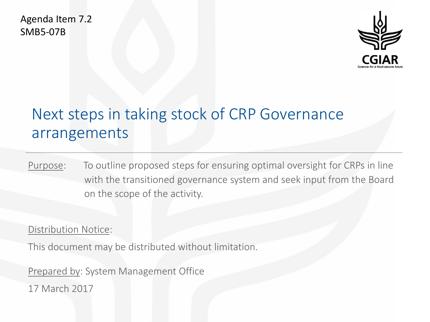Agenda Item 7.2 SMB5-07B



# Next steps in taking stock of CRP Governance arrangements

Purpose: To outline proposed steps for ensuring optimal oversight for CRPs in line with the transitioned governance system and seek input from the Board on the scope of the activity.

Distribution Notice:

This document may be distributed without limitation.

Prepared by: System Management Office

17 March 2017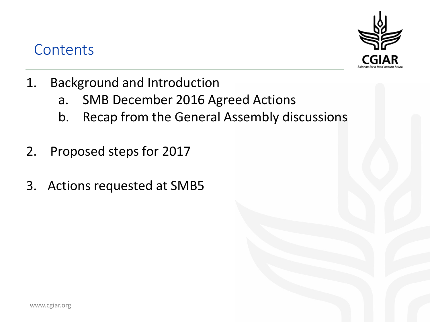#### **Contents**



- 1. Background and Introduction
	- a. SMB December 2016 Agreed Actions
	- b. Recap from the General Assembly discussions
- 2. Proposed steps for 2017
- 3. Actions requested at SMB5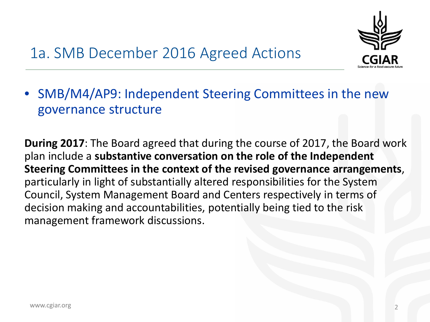

# 1a. SMB December 2016 Agreed Actions

• SMB/M4/AP9: Independent Steering Committees in the new governance structure

**During 2017**: The Board agreed that during the course of 2017, the Board work plan include a **substantive conversation on the role of the Independent Steering Committees in the context of the revised governance arrangements**, particularly in light of substantially altered responsibilities for the System Council, System Management Board and Centers respectively in terms of decision making and accountabilities, potentially being tied to the risk management framework discussions.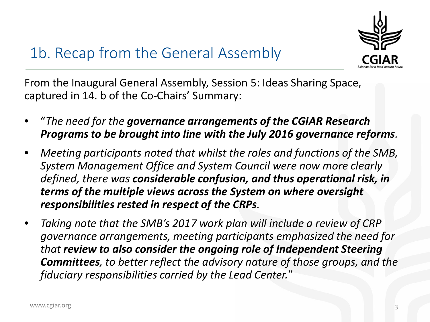

## 1b. Recap from the General Assembly

From the Inaugural General Assembly, Session 5: Ideas Sharing Space, captured in 14. b of the Co-Chairs' Summary:

- "*The need for the governance arrangements of the CGIAR Research Programs to be brought into line with the July 2016 governance reforms.*
- *Meeting participants noted that whilst the roles and functions of the SMB, System Management Office and System Council were now more clearly defined, there was considerable confusion, and thus operational risk, in terms of the multiple views across the System on where oversight responsibilities rested in respect of the CRPs.*
- *Taking note that the SMB's 2017 work plan will include a review of CRP governance arrangements, meeting participants emphasized the need for that review to also consider the ongoing role of Independent Steering Committees, to better reflect the advisory nature of those groups, and the fiduciary responsibilities carried by the Lead Center.*"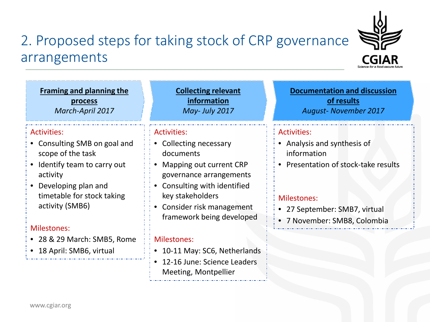#### 2. Proposed steps for taking stock of CRP governance arrangements